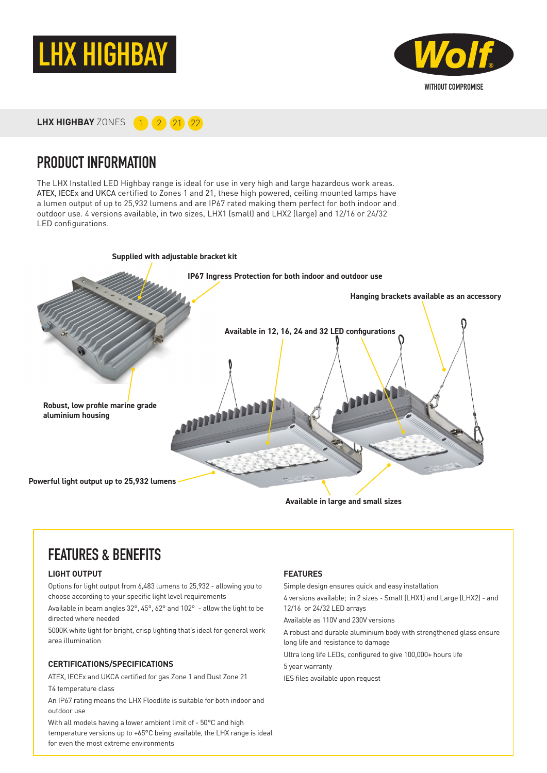



**LHX HIGHBAY** ZONES **1 2 21 22** 

### PRODUCT INFORMATION

The LHX Installed LED Highbay range is ideal for use in very high and large hazardous work areas. ATEX, IECEx and UKCA certified to Zones 1 and 21, these high powered, ceiling mounted lamps have a lumen output of up to 25,932 lumens and are IP67 rated making them perfect for both indoor and outdoor use. 4 versions available, in two sizes, LHX1 (small) and LHX2 (large) and 12/16 or 24/32 LED configurations.



## FEATURES & BENEFITS

#### **LIGHT OUTPUT**

Options for light output from 6,483 lumens to 25,932 - allowing you to choose according to your specific light level requirements

Available in beam angles 32°, 45°, 62° and 102° - allow the light to be directed where needed

5000K white light for bright, crisp lighting that's ideal for general work area illumination

#### **CERTIFICATIONS/SPECIFICATIONS**

ATEX, IECEx and UKCA certified for gas Zone 1 and Dust Zone 21 T4 temperature class

An IP67 rating means the LHX Floodlite is suitable for both indoor and outdoor use

With all models having a lower ambient limit of - 50°C and high temperature versions up to +65°C being available, the LHX range is ideal for even the most extreme environments

#### **FEATURES**

Simple design ensures quick and easy installation

4 versions available; in 2 sizes - Small (LHX1) and Large (LHX2) - and 12/16 or 24/32 LED arrays

Available as 110V and 230V versions

A robust and durable aluminium body with strengthened glass ensure long life and resistance to damage

Ultra long life LEDs, configured to give 100,000+ hours life

5 year warranty

IES files available upon request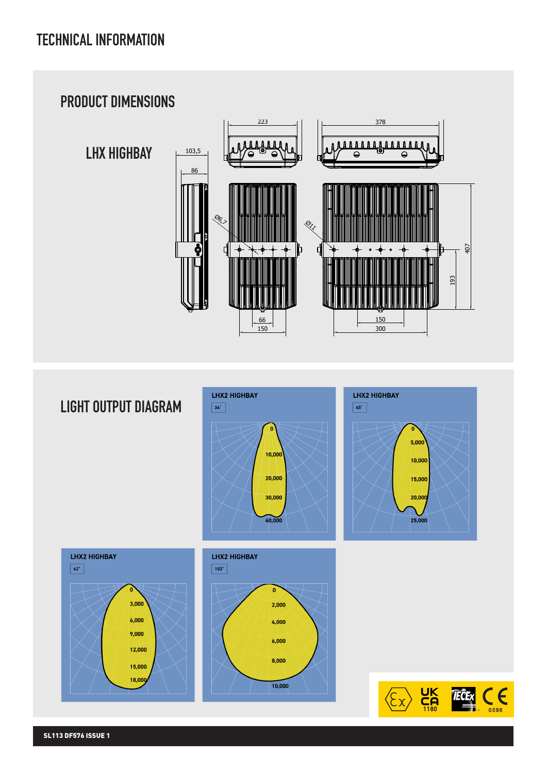

## LIGHT OUTPUT DIAGRAM